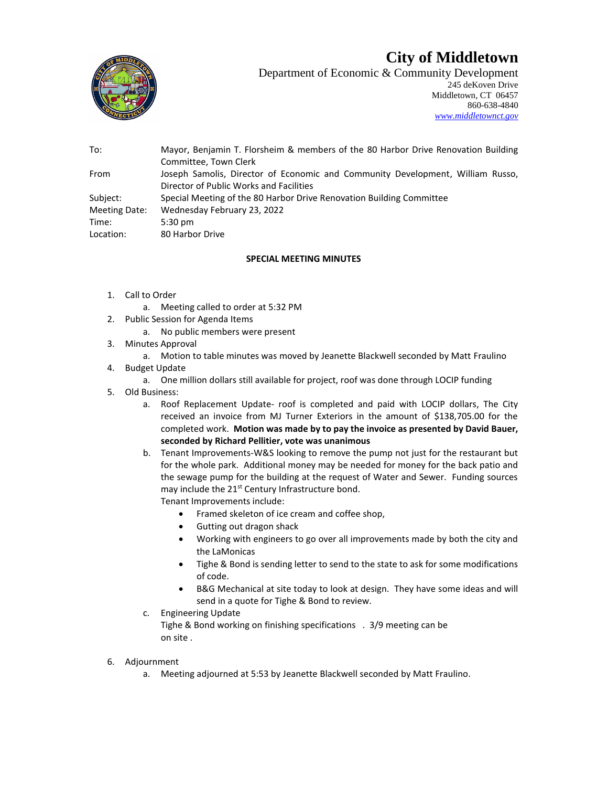## **City of Middletown**



Department of Economic & Community Development 245 deKoven Drive Middletown, CT 06457 860-638-4840 *[www.middletownct.gov](http://www.middletownct.gov/)*

| To:           | Mayor, Benjamin T. Florsheim & members of the 80 Harbor Drive Renovation Building |
|---------------|-----------------------------------------------------------------------------------|
|               | Committee, Town Clerk                                                             |
| From          | Joseph Samolis, Director of Economic and Community Development, William Russo,    |
|               | Director of Public Works and Facilities                                           |
| Subject:      | Special Meeting of the 80 Harbor Drive Renovation Building Committee              |
| Meeting Date: | Wednesday February 23, 2022                                                       |
| Time:         | $5:30 \text{ pm}$                                                                 |
| Location:     | 80 Harbor Drive                                                                   |
|               |                                                                                   |

## **SPECIAL MEETING MINUTES**

- 1. Call to Order
	- a. Meeting called to order at 5:32 PM
- 2. Public Session for Agenda Items
	- a. No public members were present
- 3. Minutes Approval
	- a. Motion to table minutes was moved by Jeanette Blackwell seconded by Matt Fraulino
- 4. Budget Update
	- a. One million dollars still available for project, roof was done through LOCIP funding
- 5. Old Business:
	- a. Roof Replacement Update- roof is completed and paid with LOCIP dollars, The City received an invoice from MJ Turner Exteriors in the amount of \$138,705.00 for the completed work. **Motion was made by to pay the invoice as presented by David Bauer, seconded by Richard Pellitier, vote was unanimous**
	- b. Tenant Improvements-W&S looking to remove the pump not just for the restaurant but for the whole park. Additional money may be needed for money for the back patio and the sewage pump for the building at the request of Water and Sewer. Funding sources may include the 21<sup>st</sup> Century Infrastructure bond. Tenant Improvements include:
		- Framed skeleton of ice cream and coffee shop,
		- Gutting out dragon shack
		- Working with engineers to go over all improvements made by both the city and the LaMonicas
		- Tighe & Bond is sending letter to send to the state to ask for some modifications of code.
		- B&G Mechanical at site today to look at design. They have some ideas and will send in a quote for Tighe & Bond to review.
	- c. Engineering Update

Tighe & Bond working on finishing specifications . 3/9 meeting can be on site .

- 6. Adjournment
	- a. Meeting adjourned at 5:53 by Jeanette Blackwell seconded by Matt Fraulino.